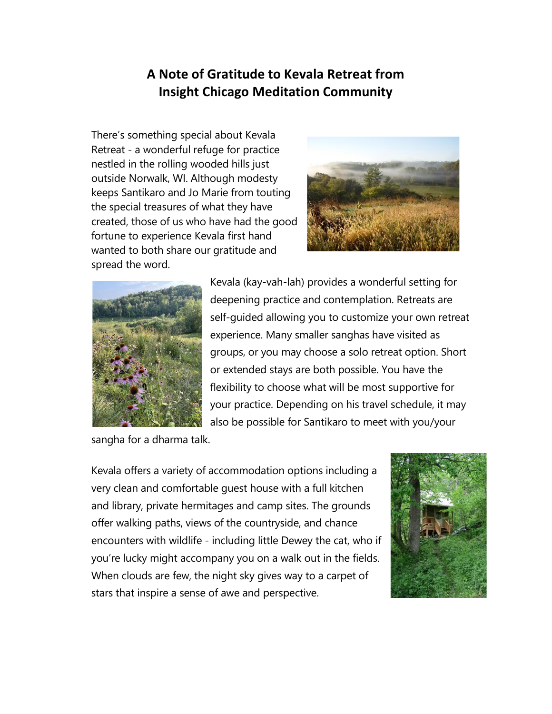## **A Note of Gratitude to Kevala Retreat from Insight Chicago Meditation Community**

There's something special about Kevala Retreat - a wonderful refuge for practice nestled in the rolling wooded hills just outside Norwalk, WI. Although modesty keeps Santikaro and Jo Marie from touting the special treasures of what they have created, those of us who have had the good fortune to experience Kevala first hand wanted to both share our gratitude and spread the word.





Kevala (kay-vah-lah) provides a wonderful setting for deepening practice and contemplation. Retreats are self-guided allowing you to customize your own retreat experience. Many smaller sanghas have visited as groups, or you may choose a solo retreat option. Short or extended stays are both possible. You have the flexibility to choose what will be most supportive for your practice. Depending on his travel schedule, it may also be possible for Santikaro to meet with you/your

sangha for a dharma talk.

Kevala offers a variety of accommodation options including a very clean and comfortable guest house with a full kitchen and library, private hermitages and camp sites. The grounds offer walking paths, views of the countryside, and chance encounters with wildlife - including little Dewey the cat, who if you're lucky might accompany you on a walk out in the fields. When clouds are few, the night sky gives way to a carpet of stars that inspire a sense of awe and perspective.

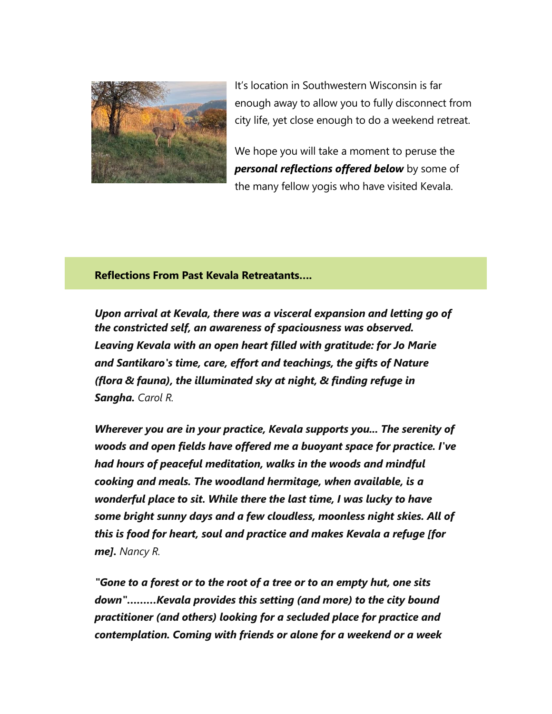

It's location in Southwestern Wisconsin is far enough away to allow you to fully disconnect from city life, yet close enough to do a weekend retreat.

We hope you will take a moment to peruse the *personal reflections offered below* by some of the many fellow yogis who have visited Kevala.

**Reflections From Past Kevala Retreatants….**

*Upon arrival at Kevala, there was a visceral expansion and letting go of the constricted self, an awareness of spaciousness was observed. Leaving Kevala with an open heart filled with gratitude: for Jo Marie and Santikaro's time, care, effort and teachings, the gifts of Nature (flora & fauna), the illuminated sky at night, & finding refuge in Sangha. Carol R.*

*Wherever you are in your practice, Kevala supports you... The serenity of woods and open fields have offered me a buoyant space for practice. I've had hours of peaceful meditation, walks in the woods and mindful cooking and meals. The woodland hermitage, when available, is a wonderful place to sit. While there the last time, I was lucky to have some bright sunny days and a few cloudless, moonless night skies. All of this is food for heart, soul and practice and makes Kevala a refuge [for me]. Nancy R.*

*"Gone to a forest or to the root of a tree or to an empty hut, one sits down"………Kevala provides this setting (and more) to the city bound practitioner (and others) looking for a secluded place for practice and contemplation. Coming with friends or alone for a weekend or a week*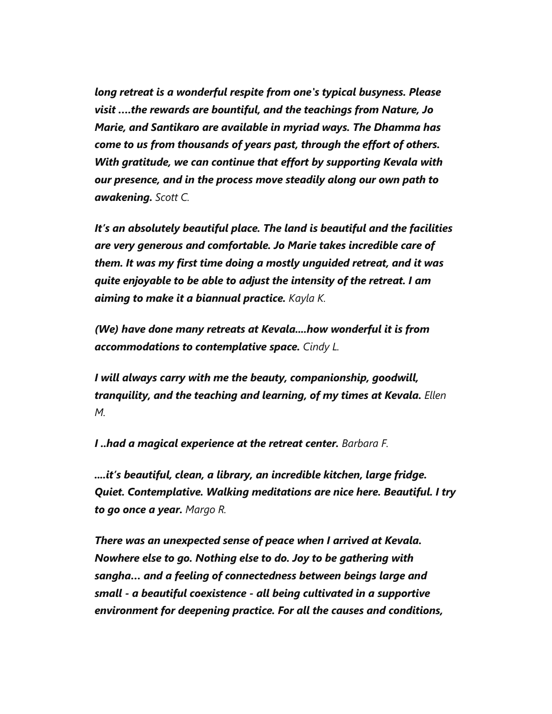*long retreat is a wonderful respite from one's typical busyness. Please visit ….the rewards are bountiful, and the teachings from Nature, Jo Marie, and Santikaro are available in myriad ways. The Dhamma has come to us from thousands of years past, through the effort of others. With gratitude, we can continue that effort by supporting Kevala with our presence, and in the process move steadily along our own path to awakening. Scott C.*

*It's an absolutely beautiful place. The land is beautiful and the facilities are very generous and comfortable. Jo Marie takes incredible care of them. It was my first time doing a mostly unguided retreat, and it was quite enjoyable to be able to adjust the intensity of the retreat. I am aiming to make it a biannual practice. Kayla K.*

*(We) have done many retreats at Kevala....how wonderful it is from accommodations to contemplative space. Cindy L.*

*I will always carry with me the beauty, companionship, goodwill, tranquility, and the teaching and learning, of my times at Kevala. Ellen M.*

*I ..had a magical experience at the retreat center. Barbara F.*

*....it's beautiful, clean, a library, an incredible kitchen, large fridge. Quiet. Contemplative. Walking meditations are nice here. Beautiful. I try to go once a year. Margo R.*

*There was an unexpected sense of peace when I arrived at Kevala. Nowhere else to go. Nothing else to do. Joy to be gathering with sangha… and a feeling of connectedness between beings large and small - a beautiful coexistence - all being cultivated in a supportive environment for deepening practice. For all the causes and conditions,*